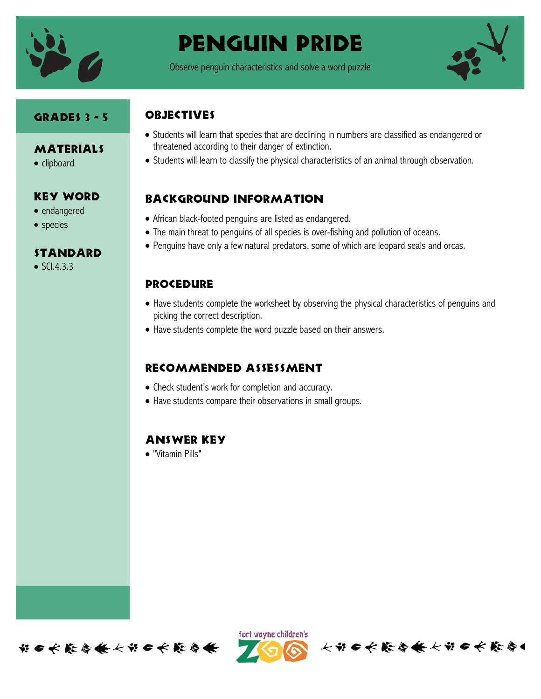

# Penguin pride

Observe penguin characteristics and solve a word puzzle



#### Grades 3 - 5

- **MATERIALS**
- clipboard

## Key Word

- endangered
- species

#### **STANDARD**

 $\bullet$  SCI.4.3.3

# **OBJECTIVES**

- Students will learn that species that are declining in numbers are classified as endangered or threatened according to their danger of extinction.
- Students will learn to classify the physical characteristics of an animal through observation.

# Background information

- African black-footed penguins are listed as endangered.
- The main threat to penguins of all species is over-fishing and pollution of oceans.
- Penguins have only a few natural predators, some of which are leopard seals and orcas.

## **PROCEDURE**

- Have students complete the worksheet by observing the physical characteristics of penguins and picking the correct description.
- Have students complete the word puzzle based on their answers.

# Recommended assessment

- Check student's work for completion and accuracy.
- Have students compare their observations in small groups.

## Answer Key

"Vitamin Pills"



ført wayne children's

长节 6 长 能 每 长 长 节 6 长 能 每 4